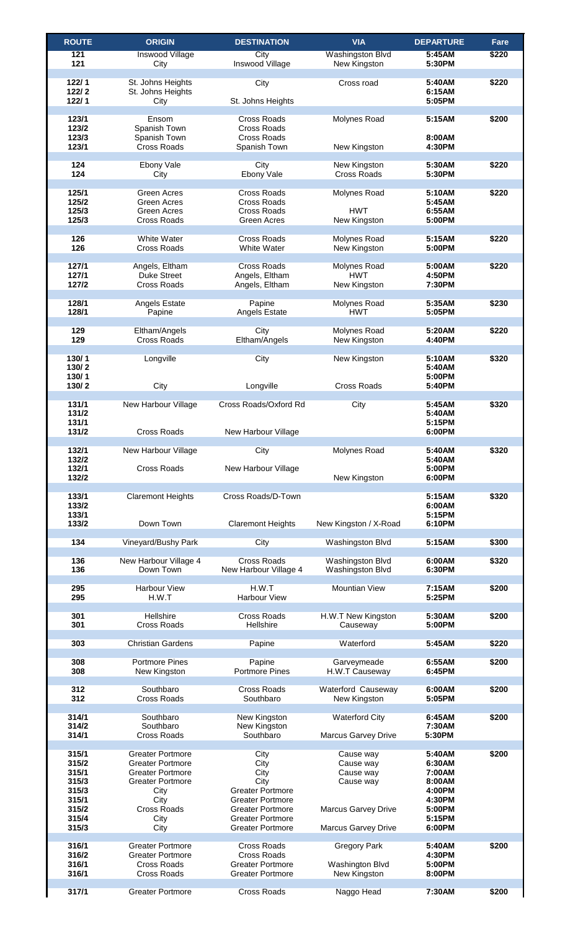| <b>ROUTE</b> | <b>ORIGIN</b>            | <b>DESTINATION</b>       | <b>VIA</b>                 | <b>DEPARTURE</b> | Fare  |
|--------------|--------------------------|--------------------------|----------------------------|------------------|-------|
| 121          | Inswood Village          | City                     | <b>Washingston Blvd</b>    | 5:45AM           | \$220 |
| 121          | City                     | Inswood Village          | New Kingston               | 5:30PM           |       |
|              |                          |                          |                            |                  |       |
| 122/1        | St. Johns Heights        | City                     | Cross road                 | 5:40AM           | \$220 |
| 122/2        | St. Johns Heights        |                          |                            | 6:15AM           |       |
| 122/1        | City                     | St. Johns Heights        |                            | 5:05PM           |       |
|              |                          |                          |                            |                  |       |
| 123/1        | Ensom                    | <b>Cross Roads</b>       | <b>Molynes Road</b>        | 5:15AM           | \$200 |
| 123/2        | Spanish Town             | <b>Cross Roads</b>       |                            |                  |       |
| 123/3        | Spanish Town             | <b>Cross Roads</b>       |                            | 8:00AM           |       |
| 123/1        | <b>Cross Roads</b>       | Spanish Town             | New Kingston               | 4:30PM           |       |
|              |                          |                          |                            |                  |       |
| 124          | Ebony Vale               | City                     | New Kingston               | 5:30AM           | \$220 |
| 124          | City                     | <b>Ebony Vale</b>        | <b>Cross Roads</b>         | 5:30PM           |       |
|              |                          |                          |                            |                  |       |
| 125/1        | <b>Green Acres</b>       | <b>Cross Roads</b>       | <b>Molynes Road</b>        | 5:10AM           | \$220 |
| 125/2        | <b>Green Acres</b>       | <b>Cross Roads</b>       |                            | 5:45AM           |       |
| 125/3        | <b>Green Acres</b>       | <b>Cross Roads</b>       | <b>HWT</b>                 | 6:55AM           |       |
| 125/3        | <b>Cross Roads</b>       | <b>Green Acres</b>       | New Kingston               | 5:00PM           |       |
|              |                          |                          |                            |                  |       |
| 126          | <b>White Water</b>       | <b>Cross Roads</b>       | <b>Molynes Road</b>        | 5:15AM           | \$220 |
| 126          | <b>Cross Roads</b>       | <b>White Water</b>       | New Kingston               | 5:00PM           |       |
|              |                          |                          |                            |                  |       |
| 127/1        | Angels, Eltham           | <b>Cross Roads</b>       | <b>Molynes Road</b>        | 5:00AM           | \$220 |
| 127/1        | <b>Duke Street</b>       | Angels, Eltham           | <b>HWT</b>                 | 4:50PM           |       |
| 127/2        | <b>Cross Roads</b>       | Angels, Eltham           | New Kingston               | 7:30PM           |       |
|              |                          |                          |                            |                  |       |
| 128/1        | <b>Angels Estate</b>     | Papine                   | <b>Molynes Road</b>        | 5:35AM           | \$230 |
| 128/1        | Papine                   | <b>Angels Estate</b>     | <b>HWT</b>                 | 5:05PM           |       |
|              |                          |                          |                            |                  |       |
| 129          | Eltham/Angels            | City                     | Molynes Road               | 5:20AM           | \$220 |
| 129          | <b>Cross Roads</b>       | Eltham/Angels            | New Kingston               | 4:40PM           |       |
|              |                          |                          |                            |                  |       |
| 130/1        | _ongville                | City                     | New Kingston               | 5:10AM           | \$320 |
| 130/2        |                          |                          |                            | 5:40AM           |       |
| 130/1        |                          |                          |                            | 5:00PM           |       |
| 130/2        | City                     | Longville                | <b>Cross Roads</b>         | 5:40PM           |       |
|              |                          |                          |                            |                  |       |
| 131/1        | New Harbour Village      | Cross Roads/Oxford Rd    | City                       | 5:45AM           | \$320 |
| 131/2        |                          |                          |                            | 5:40AM           |       |
| 131/1        |                          |                          |                            | 5:15PM           |       |
| 131/2        | <b>Cross Roads</b>       | New Harbour Village      |                            | 6:00PM           |       |
|              |                          |                          |                            |                  |       |
| 132/1        | New Harbour Village      | City                     | <b>Molynes Road</b>        | 5:40AM           | \$320 |
| 132/2        |                          |                          |                            | 5:40AM           |       |
| 132/1        | <b>Cross Roads</b>       | New Harbour Village      |                            | 5:00PM           |       |
| 132/2        |                          |                          | New Kingston               | 6:00PM           |       |
|              |                          |                          |                            |                  |       |
| 133/1        | <b>Claremont Heights</b> | Cross Roads/D-Town       |                            | 5:15AM           | \$320 |
| 133/2        |                          |                          |                            | 6:00AM           |       |
| 133/1        |                          |                          |                            | 5:15PM           |       |
| 133/2        | Down Town                | <b>Claremont Heights</b> | New Kingston / X-Road      | 6:10PM           |       |
|              |                          |                          |                            |                  |       |
| 134          | Vineyard/Bushy Park      | City                     | <b>Washingston Blvd</b>    | 5:15AM           | \$300 |
|              |                          |                          |                            |                  |       |
| 136          | New Harbour Village 4    | <b>Cross Roads</b>       | Washingston Blvd           | 6:00AM           | \$320 |
| 136          | Down Town                | New Harbour Village 4    | Washingston Blvd           | 6:30PM           |       |
|              |                          |                          |                            |                  |       |
| 295          | <b>Harbour View</b>      | H.W.T                    | <b>Mountian View</b>       | 7:15AM           | \$200 |
| 295          | H.W.T                    | <b>Harbour View</b>      |                            | 5:25PM           |       |
|              |                          |                          |                            |                  |       |
| 301          | Hellshire                | <b>Cross Roads</b>       | H.W.T New Kingston         | 5:30AM           | \$200 |
| 301          | <b>Cross Roads</b>       | Hellshire                | Causeway                   | 5:00PM           |       |
|              |                          |                          |                            |                  |       |
| 303          | <b>Christian Gardens</b> | Papine                   | Waterford                  | 5:45AM           | \$220 |
| 308          | <b>Portmore Pines</b>    | Papine                   | Garveymeade                | 6:55AM           | \$200 |
| 308          |                          | <b>Portmore Pines</b>    | H.W.T Causeway             | 6:45PM           |       |
|              | New Kingston             |                          |                            |                  |       |
| 312          | Southbaro                | <b>Cross Roads</b>       | <b>Waterford Causeway</b>  | 6:00AM           | \$200 |
| 312          | <b>Cross Roads</b>       | Southbaro                | New Kingston               | 5:05PM           |       |
|              |                          |                          |                            |                  |       |
| 314/1        | Southbaro                | New Kingston             | <b>Waterford City</b>      | 6:45AM           | \$200 |
| 314/2        | Southbaro                | New Kingston             |                            | 7:30AM           |       |
| 314/1        | <b>Cross Roads</b>       | Southbaro                | <b>Marcus Garvey Drive</b> | 5:30PM           |       |
|              |                          |                          |                            |                  |       |
| 315/1        | <b>Greater Portmore</b>  | City                     | Cause way                  | 5:40AM           | \$200 |
| 315/2        | <b>Greater Portmore</b>  | City                     | Cause way                  | 6:30AM           |       |
| 315/1        | <b>Greater Portmore</b>  | City                     | Cause way                  | 7:00AM           |       |
| 315/3        | <b>Greater Portmore</b>  | City                     | Cause way                  | 8:00AM           |       |
| 315/3        | City                     | <b>Greater Portmore</b>  |                            | 4:00PM           |       |
| 315/1        | City                     | <b>Greater Portmore</b>  |                            | 4:30PM           |       |
| 315/2        | <b>Cross Roads</b>       | <b>Greater Portmore</b>  | <b>Marcus Garvey Drive</b> | 5:00PM           |       |
| 315/4        | City                     | <b>Greater Portmore</b>  |                            | 5:15PM           |       |
| 315/3        | City                     | <b>Greater Portmore</b>  | <b>Marcus Garvey Drive</b> | 6:00PM           |       |
|              |                          |                          |                            |                  |       |
| 316/1        | <b>Greater Portmore</b>  | <b>Cross Roads</b>       | <b>Gregory Park</b>        | 5:40AM           | \$200 |
| 316/2        | <b>Greater Portmore</b>  | <b>Cross Roads</b>       |                            | 4:30PM           |       |
| 316/1        | <b>Cross Roads</b>       | <b>Greater Portmore</b>  | <b>Washington Blvd</b>     | 5:00PM           |       |
| 316/1        | <b>Cross Roads</b>       | <b>Greater Portmore</b>  | New Kingston               | 8:00PM           |       |
|              |                          |                          |                            |                  |       |
| 317/1        | <b>Greater Portmore</b>  | <b>Cross Roads</b>       | Naggo Head                 | 7:30AM           | \$200 |